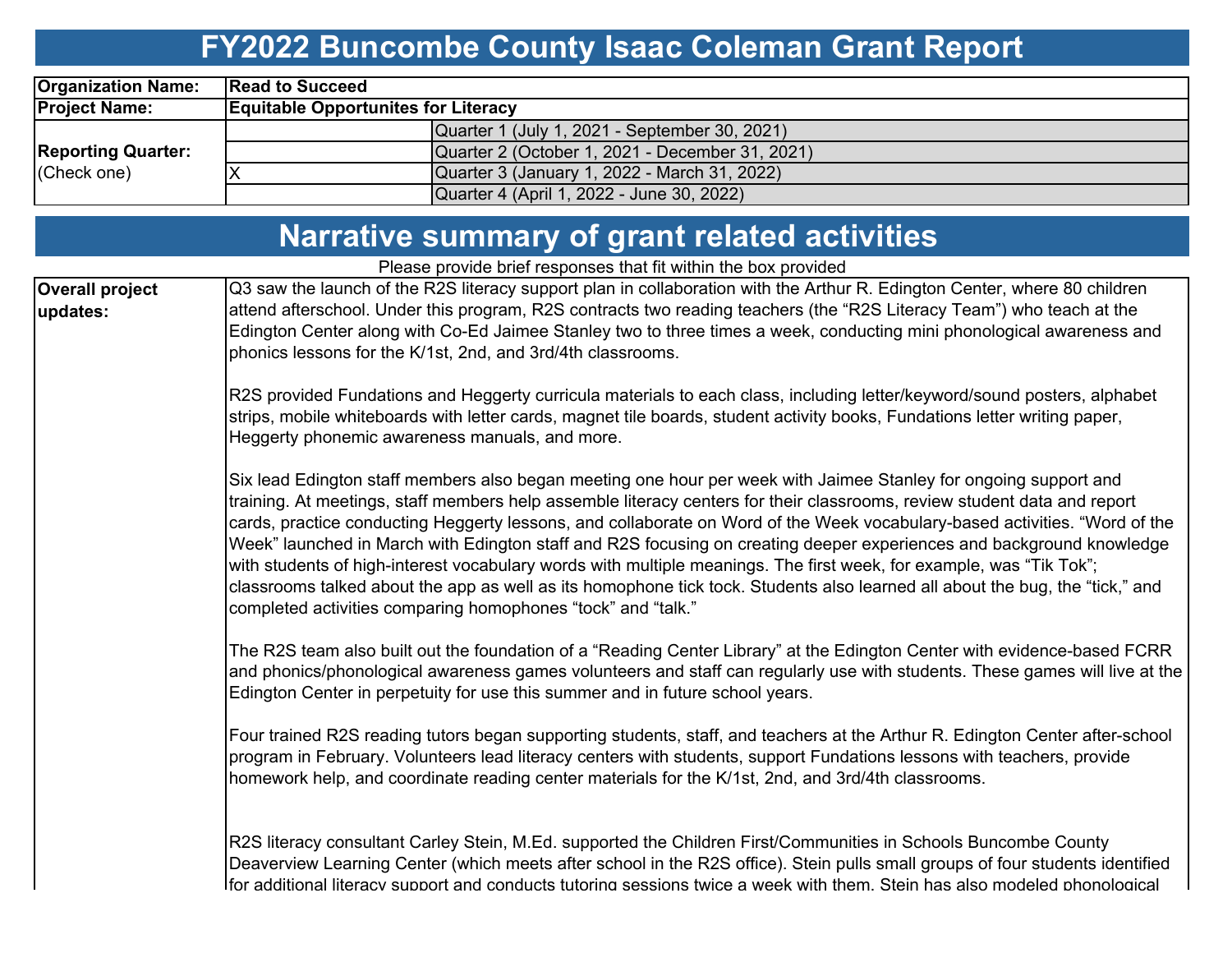# **FY2022 Buncombe County Isaac Coleman Grant Report**

| <b>Organization Name:</b>                | <b>Read to Succeed</b>                     |                                                 |  |  |  |  |  |  |  |  |
|------------------------------------------|--------------------------------------------|-------------------------------------------------|--|--|--|--|--|--|--|--|
| <b>Project Name:</b>                     | <b>Equitable Opportunites for Literacy</b> |                                                 |  |  |  |  |  |  |  |  |
|                                          |                                            | Quarter 1 (July 1, 2021 - September 30, 2021)   |  |  |  |  |  |  |  |  |
| <b>Reporting Quarter:</b><br>(Check one) |                                            | Quarter 2 (October 1, 2021 - December 31, 2021) |  |  |  |  |  |  |  |  |
|                                          |                                            | Quarter 3 (January 1, 2022 - March 31, 2022)    |  |  |  |  |  |  |  |  |
|                                          |                                            | Quarter 4 (April 1, 2022 - June 30, 2022)       |  |  |  |  |  |  |  |  |

|                                    | Narrative summary of grant related activities                                                                                                                                                                                                                                                                                                                                                                                                                                                                                                                                                                                                                                                                                                                                                                             |  |  |  |  |  |  |
|------------------------------------|---------------------------------------------------------------------------------------------------------------------------------------------------------------------------------------------------------------------------------------------------------------------------------------------------------------------------------------------------------------------------------------------------------------------------------------------------------------------------------------------------------------------------------------------------------------------------------------------------------------------------------------------------------------------------------------------------------------------------------------------------------------------------------------------------------------------------|--|--|--|--|--|--|
|                                    | Please provide brief responses that fit within the box provided                                                                                                                                                                                                                                                                                                                                                                                                                                                                                                                                                                                                                                                                                                                                                           |  |  |  |  |  |  |
| <b>Overall project</b><br>updates: | Q3 saw the launch of the R2S literacy support plan in collaboration with the Arthur R. Edington Center, where 80 children<br>attend afterschool. Under this program, R2S contracts two reading teachers (the "R2S Literacy Team") who teach at the<br>Edington Center along with Co-Ed Jaimee Stanley two to three times a week, conducting mini phonological awareness and<br>phonics lessons for the K/1st, 2nd, and 3rd/4th classrooms.                                                                                                                                                                                                                                                                                                                                                                                |  |  |  |  |  |  |
|                                    | R2S provided Fundations and Heggerty curricula materials to each class, including letter/keyword/sound posters, alphabet<br>strips, mobile whiteboards with letter cards, magnet tile boards, student activity books, Fundations letter writing paper,<br>Heggerty phonemic awareness manuals, and more.                                                                                                                                                                                                                                                                                                                                                                                                                                                                                                                  |  |  |  |  |  |  |
|                                    | Six lead Edington staff members also began meeting one hour per week with Jaimee Stanley for ongoing support and<br>training. At meetings, staff members help assemble literacy centers for their classrooms, review student data and report<br>cards, practice conducting Heggerty lessons, and collaborate on Word of the Week vocabulary-based activities. "Word of the<br>Week" launched in March with Edington staff and R2S focusing on creating deeper experiences and background knowledge<br>with students of high-interest vocabulary words with multiple meanings. The first week, for example, was "Tik Tok";<br>classrooms talked about the app as well as its homophone tick tock. Students also learned all about the bug, the "tick," and<br>completed activities comparing homophones "tock" and "talk." |  |  |  |  |  |  |
|                                    | The R2S team also built out the foundation of a "Reading Center Library" at the Edington Center with evidence-based FCRR<br>and phonics/phonological awareness games volunteers and staff can regularly use with students. These games will live at the<br>Edington Center in perpetuity for use this summer and in future school years.                                                                                                                                                                                                                                                                                                                                                                                                                                                                                  |  |  |  |  |  |  |
|                                    | Four trained R2S reading tutors began supporting students, staff, and teachers at the Arthur R. Edington Center after-school<br>program in February. Volunteers lead literacy centers with students, support Fundations lessons with teachers, provide<br>homework help, and coordinate reading center materials for the K/1st, 2nd, and 3rd/4th classrooms.                                                                                                                                                                                                                                                                                                                                                                                                                                                              |  |  |  |  |  |  |
|                                    | R2S literacy consultant Carley Stein, M.Ed. supported the Children First/Communities in Schools Buncombe County<br>Deaverview Learning Center (which meets after school in the R2S office). Stein pulls small groups of four students identified<br>Ifor additional literacv support and conducts tutoring sessions twice a week with them. Stein has also modeled phonological                                                                                                                                                                                                                                                                                                                                                                                                                                           |  |  |  |  |  |  |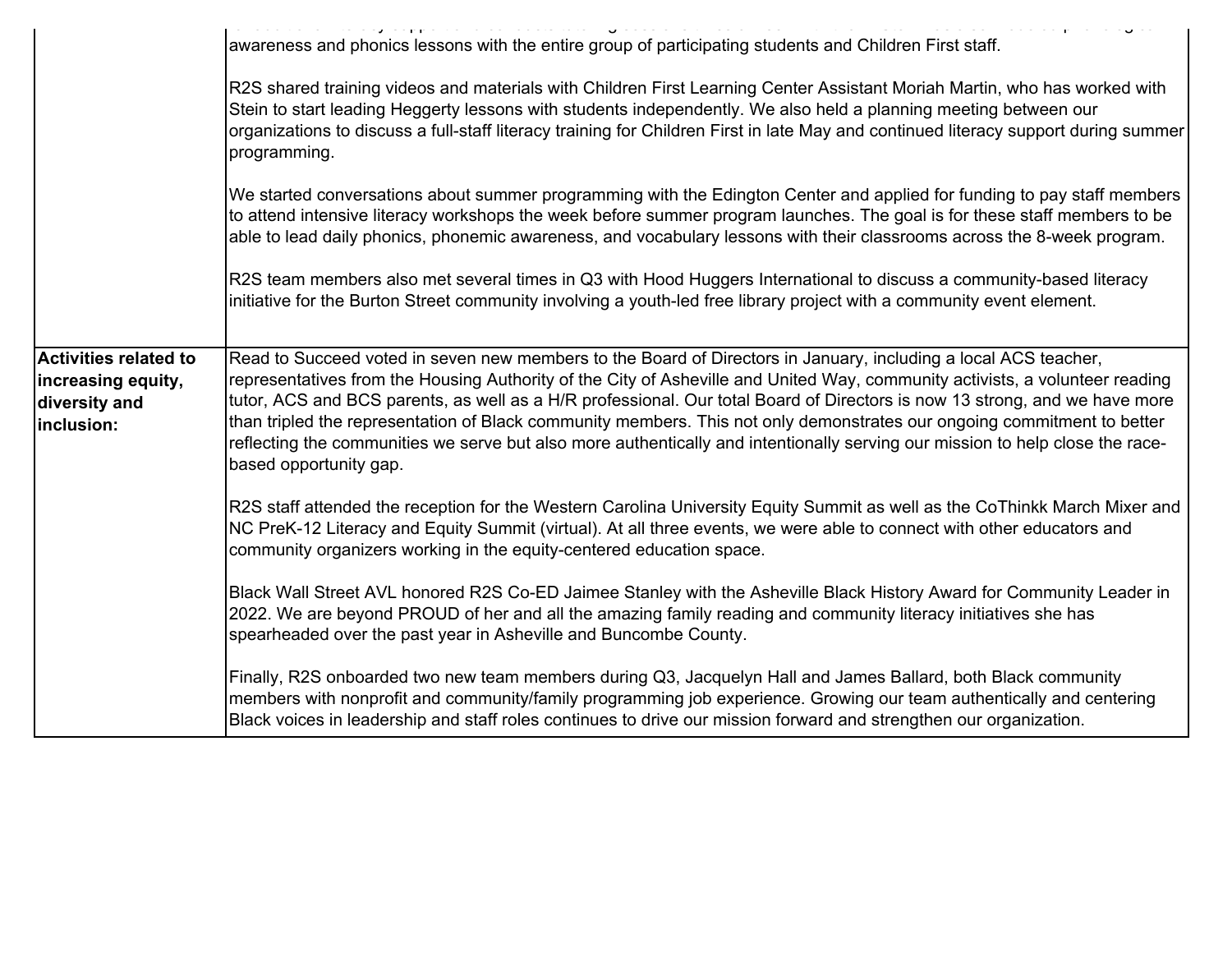|                                                                                   | the transfer and the company of the second company of the second<br>awareness and phonics lessons with the entire group of participating students and Children First staff.                                                                                                                                                                                                                                                                                                                                                                                                                                                                                         |
|-----------------------------------------------------------------------------------|---------------------------------------------------------------------------------------------------------------------------------------------------------------------------------------------------------------------------------------------------------------------------------------------------------------------------------------------------------------------------------------------------------------------------------------------------------------------------------------------------------------------------------------------------------------------------------------------------------------------------------------------------------------------|
|                                                                                   | R2S shared training videos and materials with Children First Learning Center Assistant Moriah Martin, who has worked with<br>Stein to start leading Heggerty lessons with students independently. We also held a planning meeting between our<br>organizations to discuss a full-staff literacy training for Children First in late May and continued literacy support during summer<br>programming.                                                                                                                                                                                                                                                                |
|                                                                                   | We started conversations about summer programming with the Edington Center and applied for funding to pay staff members<br>to attend intensive literacy workshops the week before summer program launches. The goal is for these staff members to be<br>able to lead daily phonics, phonemic awareness, and vocabulary lessons with their classrooms across the 8-week program.                                                                                                                                                                                                                                                                                     |
|                                                                                   | R2S team members also met several times in Q3 with Hood Huggers International to discuss a community-based literacy<br>initiative for the Burton Street community involving a youth-led free library project with a community event element.                                                                                                                                                                                                                                                                                                                                                                                                                        |
| <b>Activities related to</b><br>increasing equity,<br>diversity and<br>inclusion: | Read to Succeed voted in seven new members to the Board of Directors in January, including a local ACS teacher,<br>representatives from the Housing Authority of the City of Asheville and United Way, community activists, a volunteer reading<br>tutor, ACS and BCS parents, as well as a H/R professional. Our total Board of Directors is now 13 strong, and we have more<br>than tripled the representation of Black community members. This not only demonstrates our ongoing commitment to better<br>reflecting the communities we serve but also more authentically and intentionally serving our mission to help close the race-<br>based opportunity gap. |
|                                                                                   | R2S staff attended the reception for the Western Carolina University Equity Summit as well as the CoThinkk March Mixer and<br>NC PreK-12 Literacy and Equity Summit (virtual). At all three events, we were able to connect with other educators and<br>community organizers working in the equity-centered education space.                                                                                                                                                                                                                                                                                                                                        |
|                                                                                   | Black Wall Street AVL honored R2S Co-ED Jaimee Stanley with the Asheville Black History Award for Community Leader in<br>2022. We are beyond PROUD of her and all the amazing family reading and community literacy initiatives she has<br>spearheaded over the past year in Asheville and Buncombe County.                                                                                                                                                                                                                                                                                                                                                         |
|                                                                                   | Finally, R2S onboarded two new team members during Q3, Jacquelyn Hall and James Ballard, both Black community<br>members with nonprofit and community/family programming job experience. Growing our team authentically and centering<br>Black voices in leadership and staff roles continues to drive our mission forward and strengthen our organization.                                                                                                                                                                                                                                                                                                         |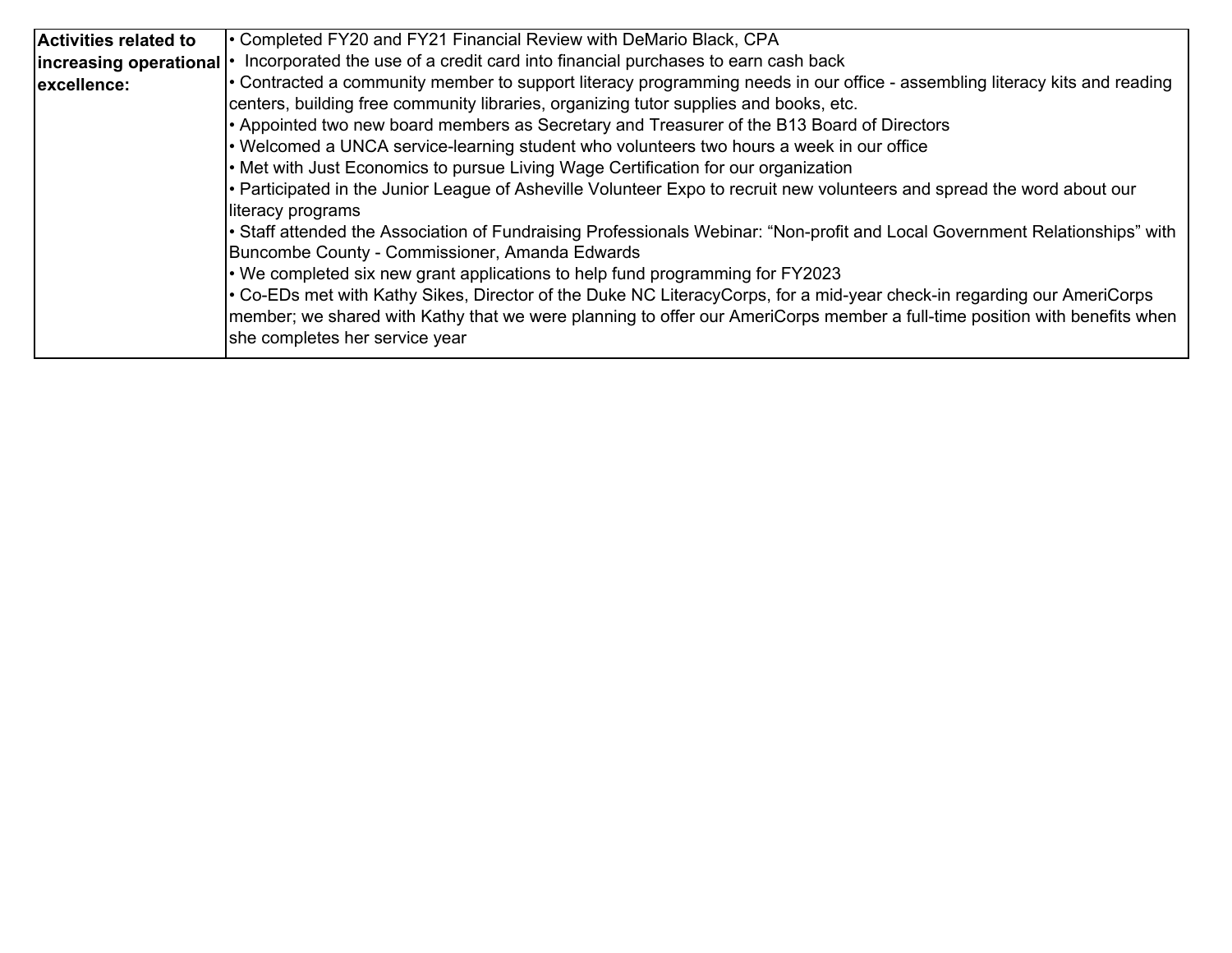| <b>Activities related to</b> | • Completed FY20 and FY21 Financial Review with DeMario Black, CPA                                                         |
|------------------------------|----------------------------------------------------------------------------------------------------------------------------|
| increasing operational   •   | Incorporated the use of a credit card into financial purchases to earn cash back                                           |
| excellence:                  | • Contracted a community member to support literacy programming needs in our office - assembling literacy kits and reading |
|                              | centers, building free community libraries, organizing tutor supplies and books, etc.                                      |
|                              | • Appointed two new board members as Secretary and Treasurer of the B13 Board of Directors                                 |
|                              | • Welcomed a UNCA service-learning student who volunteers two hours a week in our office                                   |
|                              | • Met with Just Economics to pursue Living Wage Certification for our organization                                         |
|                              | • Participated in the Junior League of Asheville Volunteer Expo to recruit new volunteers and spread the word about our    |
|                              | literacy programs                                                                                                          |
|                              | Staff attended the Association of Fundraising Professionals Webinar: "Non-profit and Local Government Relationships" with  |
|                              | Buncombe County - Commissioner, Amanda Edwards                                                                             |
|                              | $\cdot$ We completed six new grant applications to help fund programming for FY2023                                        |
|                              | Co-EDs met with Kathy Sikes, Director of the Duke NC LiteracyCorps, for a mid-year check-in regarding our AmeriCorps       |
|                              | member; we shared with Kathy that we were planning to offer our AmeriCorps member a full-time position with benefits when  |
|                              | she completes her service year                                                                                             |
|                              |                                                                                                                            |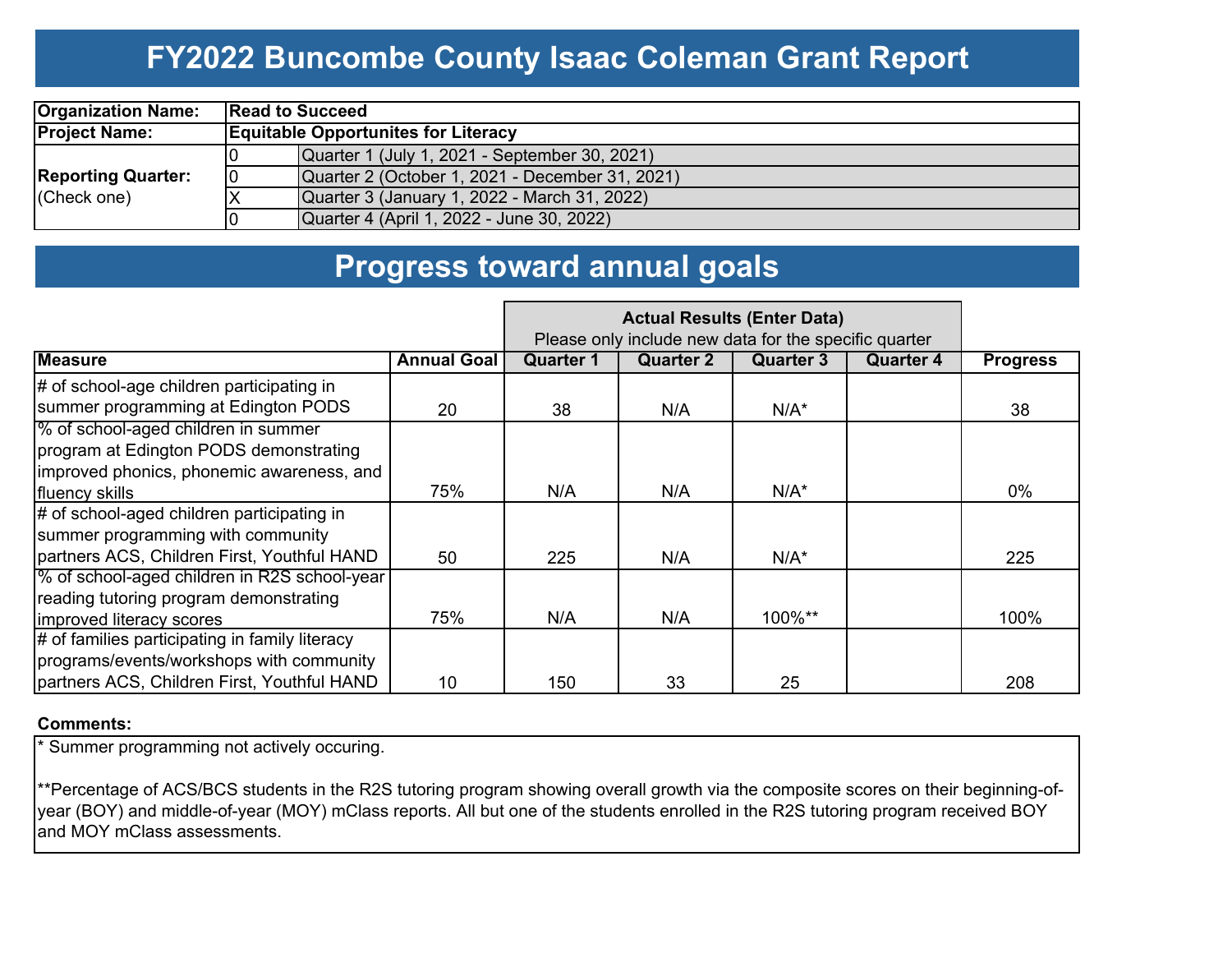### **FY2022 Buncombe County Isaac Coleman Grant Report**

| <b>Organization Name:</b>                |    | <b>Read to Succeed</b>                          |  |  |  |  |  |  |  |
|------------------------------------------|----|-------------------------------------------------|--|--|--|--|--|--|--|
| <b>Project Name:</b>                     |    | <b>Equitable Opportunites for Literacy</b>      |  |  |  |  |  |  |  |
|                                          |    | Quarter 1 (July 1, 2021 - September 30, 2021)   |  |  |  |  |  |  |  |
| <b>Reporting Quarter:</b><br>(Check one) | 10 | Quarter 2 (October 1, 2021 - December 31, 2021) |  |  |  |  |  |  |  |
|                                          |    | Quarter 3 (January 1, 2022 - March 31, 2022)    |  |  |  |  |  |  |  |
|                                          |    | Quarter 4 (April 1, 2022 - June 30, 2022)       |  |  |  |  |  |  |  |

### **Progress toward annual goals**

|                                                                                                                                              |                    | Please only include new data for the specific quarter |                  |           |                  |                 |
|----------------------------------------------------------------------------------------------------------------------------------------------|--------------------|-------------------------------------------------------|------------------|-----------|------------------|-----------------|
| <b>Measure</b>                                                                                                                               | <b>Annual Goal</b> | <b>Quarter 1</b>                                      | <b>Quarter 2</b> | Quarter 3 | <b>Quarter 4</b> | <b>Progress</b> |
| $\#$ of school-age children participating in<br>summer programming at Edington PODS                                                          | 20                 | 38                                                    | N/A              | $N/A^*$   |                  | 38              |
| % of school-aged children in summer<br>program at Edington PODS demonstrating<br>improved phonics, phonemic awareness, and<br>fluency skills | 75%                | N/A                                                   | N/A              | $N/A^*$   |                  | $0\%$           |
| # of school-aged children participating in<br>summer programming with community<br>partners ACS, Children First, Youthful HAND               | 50                 | 225                                                   | N/A              | $N/A^*$   |                  | 225             |
| % of school-aged children in R2S school-year<br>reading tutoring program demonstrating<br>improved literacy scores                           | 75%                | N/A                                                   | N/A              | 100%**    |                  | 100%            |
| $\#$ of families participating in family literacy<br>programs/events/workshops with community<br>partners ACS, Children First, Youthful HAND | 10                 | 150                                                   | 33               | 25        |                  | 208             |

#### **Comments:**

\* Summer programming not actively occuring.

\*\*Percentage of ACS/BCS students in the R2S tutoring program showing overall growth via the composite scores on their beginning-ofyear (BOY) and middle-of-year (MOY) mClass reports. All but one of the students enrolled in the R2S tutoring program received BOY and MOY mClass assessments.